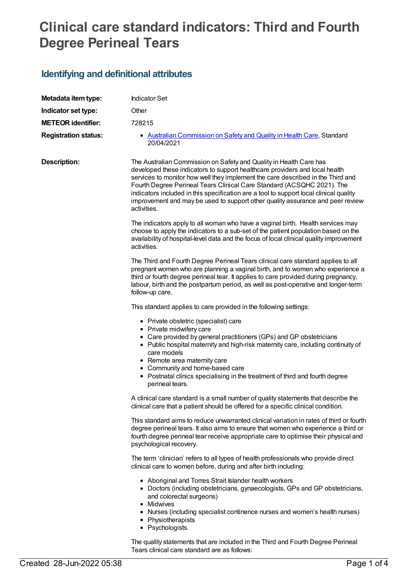## **Clinical care standard indicators: Third and Fourth Degree Perineal Tears**

## **Identifying and definitional attributes**

| Metadata item type:         | <b>Indicator Set</b>                                                                                                                                                                                                                                                                                                                                                                                                                                                                                      |
|-----------------------------|-----------------------------------------------------------------------------------------------------------------------------------------------------------------------------------------------------------------------------------------------------------------------------------------------------------------------------------------------------------------------------------------------------------------------------------------------------------------------------------------------------------|
| Indicator set type:         | Other                                                                                                                                                                                                                                                                                                                                                                                                                                                                                                     |
| <b>METEOR identifier:</b>   | 728215                                                                                                                                                                                                                                                                                                                                                                                                                                                                                                    |
| <b>Registration status:</b> | • Australian Commission on Safety and Quality in Health Care, Standard<br>20/04/2021                                                                                                                                                                                                                                                                                                                                                                                                                      |
| <b>Description:</b>         | The Australian Commission on Safety and Quality in Health Care has<br>developed these indicators to support healthcare providers and local health<br>services to monitor how well they implement the care described in the Third and<br>Fourth Degree Perineal Tears Clinical Care Standard (ACSQHC 2021). The<br>indicators included in this specification are a tool to support local clinical quality<br>improvement and may be used to support other quality assurance and peer review<br>activities. |
|                             | The indicators apply to all woman who have a vaginal birth. Health services may<br>choose to apply the indicators to a sub-set of the patient population based on the<br>availability of hospital-level data and the focus of local clinical quality improvement<br>activities.                                                                                                                                                                                                                           |
|                             | The Third and Fourth Degree Perineal Tears clinical care standard applies to all<br>pregnant women who are planning a vaginal birth, and to women who experience a<br>third or fourth degree perineal tear. It applies to care provided during pregnancy,<br>labour, birth and the postpartum period, as well as post-operative and longer-term<br>follow-up care.                                                                                                                                        |
|                             | This standard applies to care provided in the following settings:                                                                                                                                                                                                                                                                                                                                                                                                                                         |
|                             | • Private obstetric (specialist) care<br>• Private midwifery care<br>• Care provided by general practitioners (GPs) and GP obstetricians<br>• Public hospital maternity and high-risk maternity care, including continuity of<br>care models<br>• Remote area maternity care<br>• Community and home-based care<br>• Postnatal clinics specialising in the treatment of third and fourth degree<br>perineal tears.                                                                                        |
|                             | A clinical care standard is a small number of quality statements that describe the<br>clinical care that a patient should be offered for a specific clinical condition.                                                                                                                                                                                                                                                                                                                                   |
|                             | This standard aims to reduce unwarranted clinical variation in rates of third or fourth<br>degree perineal tears. It also aims to ensure that women who experience a third or<br>fourth degree perineal tear receive appropriate care to optimise their physical and<br>psychological recovery.                                                                                                                                                                                                           |
|                             | The term 'clinician' refers to all types of health professionals who provide direct<br>clinical care to women before, during and after birth including:                                                                                                                                                                                                                                                                                                                                                   |
|                             | • Aboriginal and Torres Strait Islander health workers<br>• Doctors (including obstetricians, gynaecologists, GPs and GP obstetricians,<br>and colorectal surgeons)<br>• Midwives<br>• Nurses (including specialist continence nurses and women's health nurses)<br>• Physiotherapists<br>• Psychologists.                                                                                                                                                                                                |

The quality statements that are included in the Third and Fourth Degree Perineal Tears clinical care standard are as follows: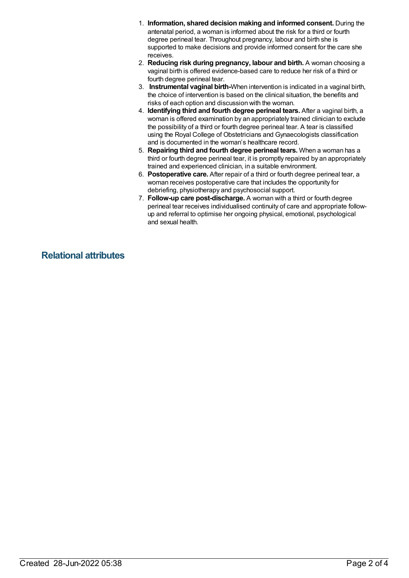- 1. **Information, shared decision making and informed consent.** During the antenatal period, a woman is informed about the risk for a third or fourth degree perineal tear. Throughout pregnancy, labour and birth she is supported to make decisions and provide informed consent for the care she receives.
- 2. **Reducing risk during pregnancy, labour and birth.** A woman choosing a vaginal birth is offered evidence-based care to reduce her risk of a third or fourth degree perineal tear.
- 3. **Instrumental vaginal birth-**When intervention is indicated in a vaginal birth, the choice of intervention is based on the clinical situation, the benefits and risks of each option and discussion with the woman.
- 4. **Identifying third and fourth degree perineal tears.** After a vaginal birth, a woman is offered examination by an appropriately trained clinician to exclude the possibility of a third or fourth degree perineal tear. A tear is classified using the Royal College of Obstetricians and Gynaecologists classification and is documented in the woman's healthcare record.
- 5. **Repairing third and fourth degree perineal tears.** When a woman has a third or fourth degree perineal tear, it is promptly repaired by an appropriately trained and experienced clinician, in a suitable environment.
- 6. **Postoperative care.** After repair of a third or fourth degree perineal tear, a woman receives postoperative care that includes the opportunity for debriefing, physiotherapy and psychosocial support.
- 7. **Follow-up care post-discharge.** A woman with a third or fourth degree perineal tear receives individualised continuity of care and appropriate followup and referral to optimise her ongoing physical, emotional, psychological and sexual health.

**Relational attributes**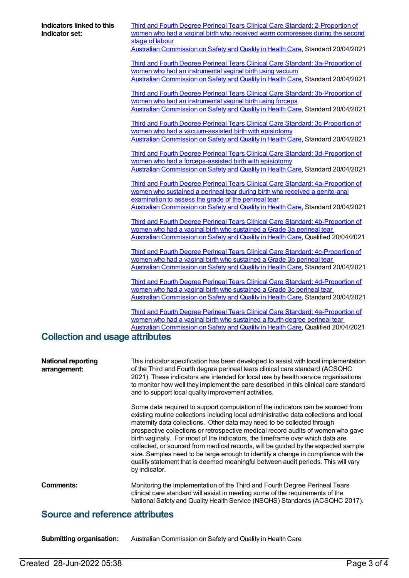| Indicators linked to this<br>Indicator set: | <b>Third and Fourth Degree Perineal Tears Clinical Care Standard: 2-Proportion of</b><br>women who had a vaginal birth who received warm compresses during the second<br>stage of labour<br>Australian Commission on Safety and Quality in Health Care, Standard 20/04/2021                                                                                                                                                                                                                                                                                                                                                                                                                                |
|---------------------------------------------|------------------------------------------------------------------------------------------------------------------------------------------------------------------------------------------------------------------------------------------------------------------------------------------------------------------------------------------------------------------------------------------------------------------------------------------------------------------------------------------------------------------------------------------------------------------------------------------------------------------------------------------------------------------------------------------------------------|
|                                             | Third and Fourth Degree Perineal Tears Clinical Care Standard: 3a-Proportion of<br>women who had an instrumental vaginal birth using vacuum<br>Australian Commission on Safety and Quality in Health Care, Standard 20/04/2021                                                                                                                                                                                                                                                                                                                                                                                                                                                                             |
|                                             | Third and Fourth Degree Perineal Tears Clinical Care Standard: 3b-Proportion of<br>women who had an instrumental vaginal birth using forceps<br>Australian Commission on Safety and Quality in Health Care, Standard 20/04/2021                                                                                                                                                                                                                                                                                                                                                                                                                                                                            |
|                                             | Third and Fourth Degree Perineal Tears Clinical Care Standard: 3c-Proportion of<br>women who had a vacuum-assisted birth with episiotomy<br>Australian Commission on Safety and Quality in Health Care, Standard 20/04/2021                                                                                                                                                                                                                                                                                                                                                                                                                                                                                |
|                                             | Third and Fourth Degree Perineal Tears Clinical Care Standard: 3d-Proportion of<br>women who had a forceps-assisted birth with episiotomy<br>Australian Commission on Safety and Quality in Health Care, Standard 20/04/2021                                                                                                                                                                                                                                                                                                                                                                                                                                                                               |
|                                             | Third and Fourth Degree Perineal Tears Clinical Care Standard: 4a-Proportion of<br>women who sustained a perineal tear during birth who received a genito-anal<br>examination to assess the grade of the perineal tear                                                                                                                                                                                                                                                                                                                                                                                                                                                                                     |
|                                             | Australian Commission on Safety and Quality in Health Care, Standard 20/04/2021                                                                                                                                                                                                                                                                                                                                                                                                                                                                                                                                                                                                                            |
|                                             | Third and Fourth Degree Perineal Tears Clinical Care Standard: 4b-Proportion of<br>women who had a vaginal birth who sustained a Grade 3a perineal tear<br>Australian Commission on Safety and Quality in Health Care, Qualified 20/04/2021                                                                                                                                                                                                                                                                                                                                                                                                                                                                |
|                                             | Third and Fourth Degree Perineal Tears Clinical Care Standard: 4c-Proportion of<br>women who had a vaginal birth who sustained a Grade 3b perineal tear<br>Australian Commission on Safety and Quality in Health Care, Standard 20/04/2021                                                                                                                                                                                                                                                                                                                                                                                                                                                                 |
|                                             | <b>Third and Fourth Degree Perineal Tears Clinical Care Standard: 4d-Proportion of</b><br>women who had a vaginal birth who sustained a Grade 3c perineal tear<br>Australian Commission on Safety and Quality in Health Care, Standard 20/04/2021                                                                                                                                                                                                                                                                                                                                                                                                                                                          |
|                                             | Third and Fourth Degree Perineal Tears Clinical Care Standard: 4e-Proportion of<br>women who had a vaginal birth who sustained a fourth degree perineal tear<br>Australian Commission on Safety and Quality in Health Care, Qualified 20/04/2021                                                                                                                                                                                                                                                                                                                                                                                                                                                           |
| <b>Collection and usage attributes</b>      |                                                                                                                                                                                                                                                                                                                                                                                                                                                                                                                                                                                                                                                                                                            |
| <b>National reporting</b><br>arrangement:   | This indicator specification has been developed to assist with local implementation<br>of the Third and Fourth degree perineal tears clinical care standard (ACSQHC<br>2021). These indicators are intended for local use by health service organisations<br>to monitor how well they implement the care described in this clinical care standard<br>and to support local quality improvement activities.                                                                                                                                                                                                                                                                                                  |
|                                             | Some data required to support computation of the indicators can be sourced from<br>existing routine collections including local administrative data collections and local<br>maternity data collections. Other data may need to be collected through<br>prospective collections or retrospective medical record audits of women who gave<br>birth vaginally. For most of the indicators, the timeframe over which data are<br>collected, or sourced from medical records, will be guided by the expected sample<br>size. Samples need to be large enough to identify a change in compliance with the<br>quality statement that is deemed meaningful between audit periods. This will vary<br>by indicator. |
| <b>Comments:</b>                            | Monitoring the implementation of the Third and Fourth Degree Perineal Tears<br>clinical care standard will assist in meeting some of the requirements of the<br>National Safety and Quality Health Service (NSQHS) Standards (ACSQHC 2017).                                                                                                                                                                                                                                                                                                                                                                                                                                                                |

## **Source and reference attributes**

**Submitting organisation:** Australian Commission on Safety and Quality in Health Care